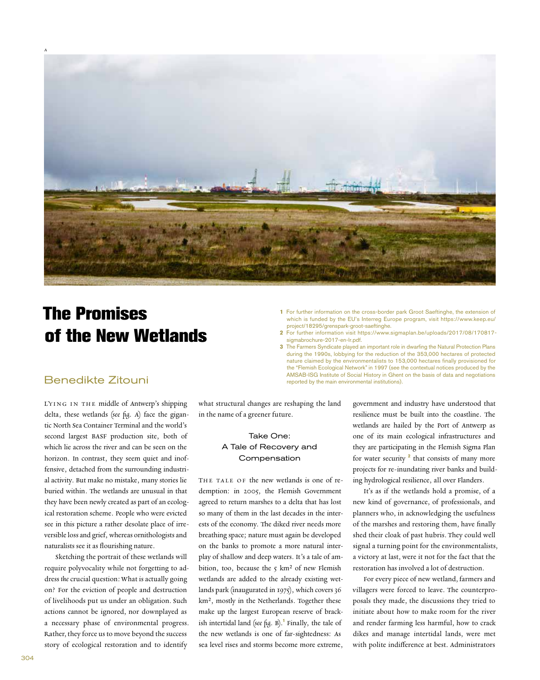

## **The Promises of the New Wetlands**

- **1** For further information on the cross-border park Groot Saeftinghe, the extension of which is funded by the EU's Interreg Europe program, visit https://www.keep.eu/ project/18295/grenspark-groot-saeftinghe.
- **2** For further information visit https://www.sigmaplan.be/uploads/2017/08/170817 sigmabrochure-2017-en-lr.pdf.
- **3** The Farmers Syndicate played an important role in dwarfing the Natural Protection Plans during the 1990s, lobbying for the reduction of the 353,000 hectares of protected nature claimed by the environmentalists to 153,000 hectares finally provisioned for the "Flemish Ecological Network" in 1997 (see the contextual notices produced by the AMSAB-ISG Institute of Social History in Ghent on the basis of data and negotiations reported by the main environmental institutions).

## Benedikte Zitouni

Lying in the middle of Antwerp's shipping delta, these wetlands (see fig. A) face the gigantic North Sea Container Terminal and the world's second largest BASF production site, both of which lie across the river and can be seen on the horizon. In contrast, they seem quiet and inoffensive, detached from the surrounding industrial activity. But make no mistake, many stories lie buried within. The wetlands are unusual in that they have been newly created as part of an ecological restoration scheme. People who were evicted see in this picture a rather desolate place of irreversible loss and grief, whereas ornithologists and naturalists see it as flourishing nature.

Sketching the portrait of these wetlands will require polyvocality while not forgetting to address the crucial question: What is actually going on? For the eviction of people and destruction of livelihoods put us under an obligation. Such actions cannot be ignored, nor downplayed as a necessary phase of environmental progress. Rather, they force us to move beyond the success story of ecological restoration and to identify

what structural changes are reshaping the land in the name of a greener future.

## Take One: A Tale of Recovery and Compensation

THE TALE OF the new wetlands is one of redemption: in 2005, the Flemish Government agreed to return marshes to a delta that has lost so many of them in the last decades in the interests of the economy. The diked river needs more breathing space; nature must again be developed on the banks to promote a more natural interplay of shallow and deep waters. It's a tale of ambition, too, because the  $5 \text{ km}^2$  of new Flemish wetlands are added to the already existing wetlands park (inaugurated in 1975), which covers 36 km², mostly in the Netherlands. Together these make up the largest European reserve of brackish intertidal land (see fig. B). **1** Finally, the tale of the new wetlands is one of far-sightedness: As sea level rises and storms become more extreme,

government and industry have understood that resilience must be built into the coastline. The wetlands are hailed by the Port of Antwerp as one of its main ecological infrastructures and they are participating in the Flemish Sigma Plan for water security <sup>2</sup> that consists of many more projects for re-inundating river banks and building hydrological resilience, all over Flanders.

It's as if the wetlands hold a promise, of a new kind of governance, of professionals, and planners who, in acknowledging the usefulness of the marshes and restoring them, have finally shed their cloak of past hubris. They could well signal a turning point for the environmentalists, a victory at last, were it not for the fact that the restoration has involved a lot of destruction.

For every piece of new wetland, farmers and villagers were forced to leave. The counterproposals they made, the discussions they tried to initiate about how to make room for the river and render farming less harmful, how to crack dikes and manage intertidal lands, were met with polite indifference at best. Administrators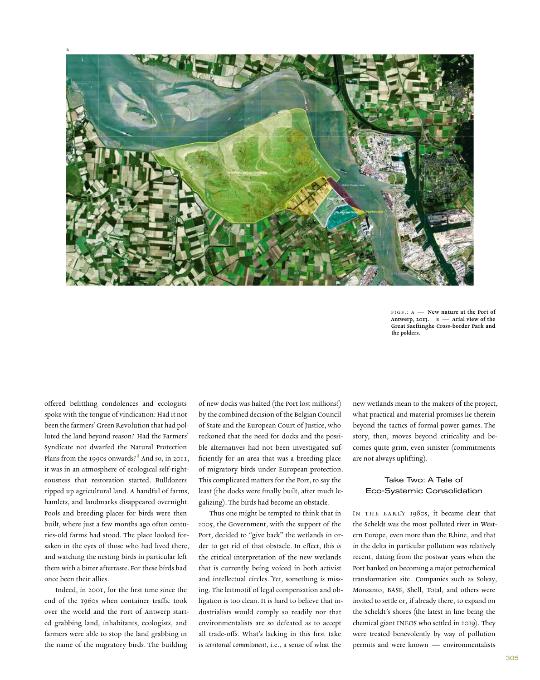

FIGS.: A - New nature at the Port of Antwerp, 2013.  $B -$  Arial view of the Great Saeftinghe Cross-border Park and the polders.

offered belittling condolences and ecologists spoke with the tongue of vindication: Had it not been the farmers' Green Revolution that had polluted the land beyond reason? Had the Farmers' Syndicate not dwarfed the Natural Protection Plans from the 1990s onwards?**<sup>3</sup>** And so, in 2011, it was in an atmosphere of ecological self-righteousness that restoration started. Bulldozers ripped up agricultural land. A handful of farms, hamlets, and landmarks disappeared overnight. Pools and breeding places for birds were then built, where just a few months ago often centuries-old farms had stood. The place looked forsaken in the eyes of those who had lived there, and watching the nesting birds in particular left them with a bitter aftertaste. For these birds had once been their allies.

Indeed, in 2001, for the first time since the end of the 1960s when container traffic took over the world and the Port of Antwerp started grabbing land, inhabitants, ecologists, and farmers were able to stop the land grabbing in the name of the migratory birds. The building

of new docks was halted (the Port lost millions!) by the combined decision of the Belgian Council of State and the European Court of Justice, who reckoned that the need for docks and the possible alternatives had not been investigated sufficiently for an area that was a breeding place of migratory birds under European protection. This complicated matters for the Port, to say the least (the docks were finally built, after much legalizing). The birds had become an obstacle.

Thus one might be tempted to think that in 2005, the Government, with the support of the Port, decided to "give back" the wetlands in order to get rid of that obstacle. In effect, this is the critical interpretation of the new wetlands that is currently being voiced in both activist and intellectual circles. Yet, something is missing. The leitmotif of legal compensation and obligation is too clean. It is hard to believe that industrialists would comply so readily nor that environmentalists are so defeated as to accept all trade-offs. What's lacking in this first take is territorial commitment, i.e., a sense of what the

new wetlands mean to the makers of the project, what practical and material promises lie therein beyond the tactics of formal power games. The story, then, moves beyond criticality and becomes quite grim, even sinister (commitments are not always uplifting).

## Take Two: A Tale of Eco-Systemic Consolidation

IN THE EARLY 1980s, it became clear that the Scheldt was the most polluted river in Western Europe, even more than the Rhine, and that in the delta in particular pollution was relatively recent, dating from the postwar years when the Port banked on becoming a major petrochemical transformation site. Companies such as Solvay, Monsanto, BASF, Shell, Total, and others were invited to settle or, if already there, to expand on the Scheldt's shores (the latest in line being the chemical giant INEOS who settled in 2019). They were treated benevolently by way of pollution permits and were known — environmentalists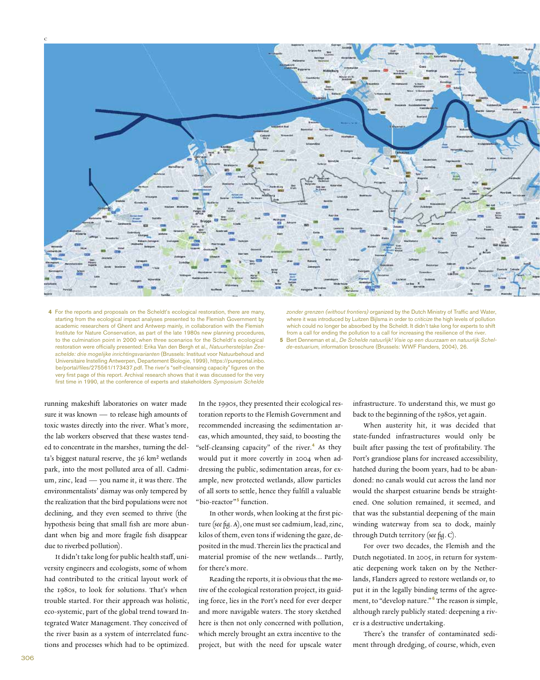c



 **4** For the reports and proposals on the Scheldt's ecological restoration, there are many, starting from the ecological impact analyses presented to the Flemish Government by academic researchers of Ghent and Antwerp mainly, in collaboration with the Flemish Institute for Nature Conservation, as part of the late 1980s new planning procedures, to the culmination point in 2000 when three scenarios for the Scheldt's ecological restoration were officially presented: Erika Van den Bergh et al., *Natuurherstelplan Zeeschelde: drie mogelijke inrichtingsvarianten* (Brussels: Instituut voor Natuurbehoud and Universitaire Instelling Antwerpen, Departement Biologie, 1999), https://pureportal.inbo. be/portal/files/275561/173437.pdf. The river's "self-cleansing capacity" figures on the very first page of this report. Archival research shows that it was discussed for the very first time in 1990, at the conference of experts and stakeholders *Symposium Schelde* 

*zonder grenzen (without frontiers)* organized by the Dutch Ministry of Traffic and Water, where it was introduced by Luitzen Bijlsma in order to *criticize* the high levels of pollution which could no longer be absorbed by the Scheldt. It didn't take long for experts to shift from a call for ending the pollution to a call for increasing the resilience of the river.  **5** Bert Denneman et al., *De Schelde natuurlijk! Visie op een duurzaam en natuurlijk Schel-*

*de-estuarium,* information broschure (Brussels: WWF Flanders, 2004), 26*.*

running makeshift laboratories on water made sure it was known — to release high amounts of toxic wastes directly into the river. What's more, the lab workers observed that these wastes tended to concentrate in the marshes, turning the delta's biggest natural reserve, the 36 km² wetlands park, into the most polluted area of all. Cadmium, zinc, lead — you name it, it was there. The environmentalists' dismay was only tempered by the realization that the bird populations were not declining, and they even seemed to thrive (the hypothesis being that small fish are more abundant when big and more fragile fish disappear due to riverbed pollution).

It didn't take long for public health staff, university engineers and ecologists, some of whom had contributed to the critical layout work of the 1980s, to look for solutions. That's when trouble started. For their approach was holistic, eco-systemic, part of the global trend toward Integrated Water Management. They conceived of the river basin as a system of interrelated functions and processes which had to be optimized.

In the 1990s, they presented their ecological restoration reports to the Flemish Government and recommended increasing the sedimentation areas, which amounted, they said, to boosting the "self-cleansing capacity" of the river.**<sup>4</sup>** As they would put it more covertly in 2004 when addressing the public, sedimentation areas, for example, new protected wetlands, allow particles of all sorts to settle, hence they fulfill a valuable "bio-reactor"**<sup>5</sup>** function.

In other words, when looking at the first picture (see fig. A), one must see cadmium, lead, zinc, kilos of them, even tons if widening the gaze, deposited in the mud. Therein lies the practical and material promise of the new wetlands… Partly, for there's more.

Reading the reports, it is obvious that the motive of the ecological restoration project, its guiding force, lies in the Port's need for ever deeper and more navigable waters. The story sketched here is then not only concerned with pollution, which merely brought an extra incentive to the project, but with the need for upscale water

infrastructure. To understand this, we must go back to the beginning of the 1980s, yet again.

When austerity hit, it was decided that state-funded infrastructures would only be built after passing the test of profitability. The Port's grandiose plans for increased accessibility, hatched during the boom years, had to be abandoned: no canals would cut across the land nor would the sharpest estuarine bends be straightened. One solution remained, it seemed, and that was the substantial deepening of the main winding waterway from sea to dock, mainly through Dutch territory (see fig. C).

For over two decades, the Flemish and the Dutch negotiated. In 2005, in return for systematic deepening work taken on by the Netherlands, Flanders agreed to restore wetlands or, to put it in the legally binding terms of the agreement, to "develop nature." **<sup>6</sup>** The reason is simple, although rarely publicly stated: deepening a river is a destructive undertaking.

There's the transfer of contaminated sediment through dredging, of course, which, even